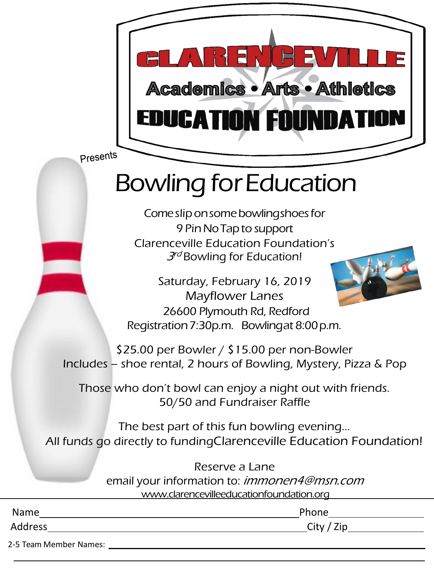

Presents

## Bowling forEducation

Come slip on some bowling shoes for 9 PinNoTapto support Clarenceville Education Foundation's  $3<sup>rd</sup>$  Bowling for Education!

Saturday, February 16, 2019 Mayflower Lanes 26600 Plymouth Rd, Redford Registration7:30p.m. Bowlingat 8:00p.m.

\$25.00 per Bowler / \$15.00 per non-Bowler Includes – shoe rental, 2 hours of Bowling, Mystery, Pizza & Pop

Those who don't bowl can enjoy a night out with friends. 50/50 and Fundraiser Raffle

The best part of this fun bowling evening... All funds go directly to fundingClarenceville Education Foundation!

> Reserve a Lane email your information to: *immonen4@msn.com* [www.clarencevilleeducationfoundation.org](http://www.clarencevilleeducationfoundation.org/)

| Name    | Phone        |
|---------|--------------|
| Address | City $/$ Zip |
| ___     |              |

2-5 Team Member Names: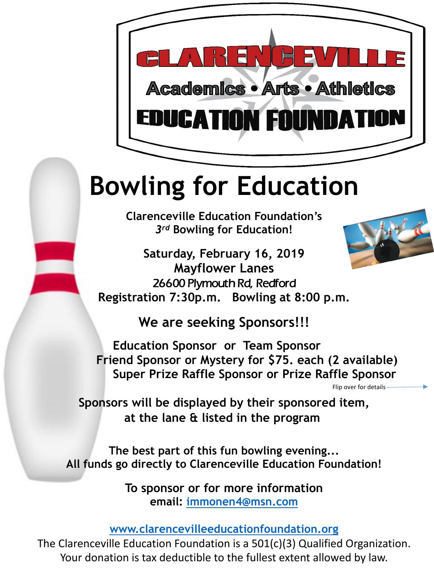

## **Bowling for Education**

**Clarenceville Education Foundation's**  *3rd* **Bowling for Education!** 

**Saturday, February 16, 2019 Mayflower Lanes** 26600 Plymouth Rd, Redford **Registration 7:30p.m. Bowling at 8:00 p.m.** 

**We are seeking Sponsors!!!** 

**Education Sponsor or Team Sponsor Friend Sponsor or Mystery for \$75. each (2 available) Super Prize Raffle Sponsor or Prize Raffle Sponsor**

Flip over for details

**Sponsors will be displayed by their sponsored item, at the lane & listed in the program**

**The best part of this fun bowling evening... All funds go directly to Clarenceville Education Foundation!**

> **To sponsor or for more information email: [immonen4@msn.com](mailto:immonen4@msn.com)**

**[www.clarencevilleeducationfoundation.org](http://www.clarencevilleeducationfoundation.org/)**

The Clarenceville Education Foundation is a 501(c)(3) Qualified Organization. Your donation is tax deductible to the fullest extent allowed by law.